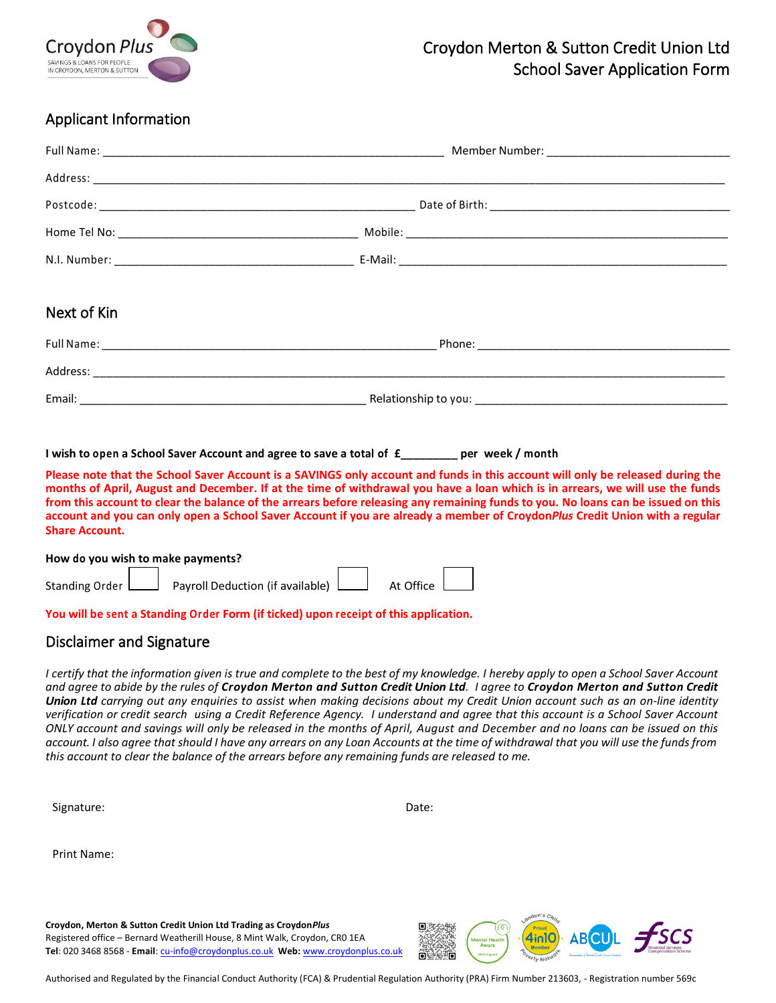

# Croydon Merton & Sutton Credit Union Ltd School Saver Application Form

## Applicant Information

| Next of Kin |  |  |
|-------------|--|--|
|             |  |  |
|             |  |  |
|             |  |  |

#### **I wish to open a School Saver Account and agree to save a total of £\_\_\_\_\_\_\_\_\_ per week / month**

**Please note that the School Saver Account is a SAVINGS only account and funds in this account will only be released during the months of April, August and December. If at the time of withdrawal you have a loan which is in arrears, we will use the funds from this account to clear the balance of the arrears before releasing any remaining funds to you. No loans can be issued on this account and you can only open a School Saver Account if you are already a member of Croydon***Plus* **Credit Union with a regular Share Account.**

| How do you wish to make payments? |                                                        |  |                                  |  |  |
|-----------------------------------|--------------------------------------------------------|--|----------------------------------|--|--|
|                                   | Standing Order $\Box$ Payroll Deduction (if available) |  | At Office $\mathrel{\mathsf{L}}$ |  |  |

#### **You will be sent a Standing Order Form (if ticked) upon receipt of this application.**

#### Disclaimer and Signature

I certify that the information given is true and complete to the best of my knowledge. I hereby apply to open a School Saver Account and agree to abide by the rules of Croydon Merton and Sutton Credit Union Ltd. I agree to Croydon Merton and Sutton Credit Union Ltd carrying out any enquiries to assist when making decisions about my Credit Union account such as an on-line identity verification or credit search using a Credit Reference Agency. I understand and agree that this account is a School Saver Account ONLY account and savings will only be released in the months of April, August and December and no loans can be issued on this *account. I also agree that should I have any arrears on any Loan Accounts at the time of withdrawal that you will use the funds from this account to clear the balance of the arrears before any remaining funds are released to me.* 

| Signature: | Date: |
|------------|-------|
|            |       |

Print Name:

**Croydon, Merton & Sutton Credit Union Ltd Trading as Croydon***Plus* Registered office – Bernard Weatherill House, 8 Mint Walk, Croydon, CR0 1EA **Tel**: 020 3468 8568 - **Email**[: cu-info@croydonplus.co.uk](mailto:cu-info@croydonplus.co.uk) **Web:** [www.croydonplus.co.uk](http://www.croydonplus.co.uk/)



Authorised and Regulated by the Financial Conduct Authority (FCA) & Prudential Regulation Authority (PRA) Firm Number 213603, - Registration number 569c